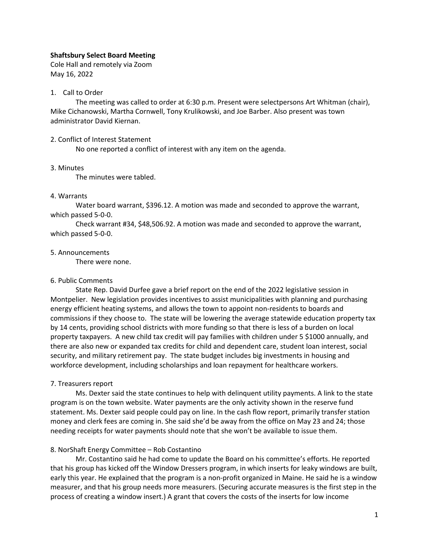# **Shaftsbury Select Board Meeting**

Cole Hall and remotely via Zoom May 16, 2022

## 1. Call to Order

The meeting was called to order at 6:30 p.m. Present were selectpersons Art Whitman (chair), Mike Cichanowski, Martha Cornwell, Tony Krulikowski, and Joe Barber. Also present was town administrator David Kiernan.

#### 2. Conflict of Interest Statement

No one reported a conflict of interest with any item on the agenda.

#### 3. Minutes

The minutes were tabled.

## 4. Warrants

Water board warrant, \$396.12. A motion was made and seconded to approve the warrant, which passed 5-0-0.

Check warrant #34, \$48,506.92. A motion was made and seconded to approve the warrant, which passed 5-0-0.

#### 5. Announcements

There were none.

## 6. Public Comments

State Rep. David Durfee gave a brief report on the end of the 2022 legislative session in Montpelier. New legislation provides incentives to assist municipalities with planning and purchasing energy efficient heating systems, and allows the town to appoint non-residents to boards and commissions if they choose to. The state will be lowering the average statewide education property tax by 14 cents, providing school districts with more funding so that there is less of a burden on local property taxpayers. A new child tax credit will pay families with children under 5 \$1000 annually, and there are also new or expanded tax credits for child and dependent care, student loan interest, social security, and military retirement pay. The state budget includes big investments in housing and workforce development, including scholarships and loan repayment for healthcare workers.

## 7. Treasurers report

Ms. Dexter said the state continues to help with delinquent utility payments. A link to the state program is on the town website. Water payments are the only activity shown in the reserve fund statement. Ms. Dexter said people could pay on line. In the cash flow report, primarily transfer station money and clerk fees are coming in. She said she'd be away from the office on May 23 and 24; those needing receipts for water payments should note that she won't be available to issue them.

## 8. NorShaft Energy Committee – Rob Costantino

Mr. Costantino said he had come to update the Board on his committee's efforts. He reported that his group has kicked off the Window Dressers program, in which inserts for leaky windows are built, early this year. He explained that the program is a non-profit organized in Maine. He said he is a window measurer, and that his group needs more measurers. (Securing accurate measures is the first step in the process of creating a window insert.) A grant that covers the costs of the inserts for low income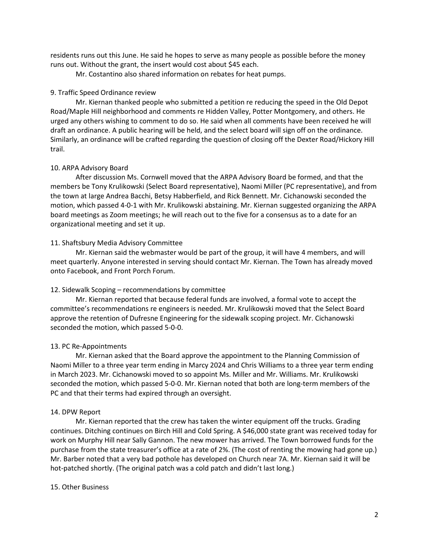residents runs out this June. He said he hopes to serve as many people as possible before the money runs out. Without the grant, the insert would cost about \$45 each.

Mr. Costantino also shared information on rebates for heat pumps.

## 9. Traffic Speed Ordinance review

Mr. Kiernan thanked people who submitted a petition re reducing the speed in the Old Depot Road/Maple Hill neighborhood and comments re Hidden Valley, Potter Montgomery, and others. He urged any others wishing to comment to do so. He said when all comments have been received he will draft an ordinance. A public hearing will be held, and the select board will sign off on the ordinance. Similarly, an ordinance will be crafted regarding the question of closing off the Dexter Road/Hickory Hill trail.

#### 10. ARPA Advisory Board

After discussion Ms. Cornwell moved that the ARPA Advisory Board be formed, and that the members be Tony Krulikowski (Select Board representative), Naomi Miller (PC representative), and from the town at large Andrea Bacchi, Betsy Habberfield, and Rick Bennett. Mr. Cichanowski seconded the motion, which passed 4-0-1 with Mr. Krulikowski abstaining. Mr. Kiernan suggested organizing the ARPA board meetings as Zoom meetings; he will reach out to the five for a consensus as to a date for an organizational meeting and set it up.

#### 11. Shaftsbury Media Advisory Committee

Mr. Kiernan said the webmaster would be part of the group, it will have 4 members, and will meet quarterly. Anyone interested in serving should contact Mr. Kiernan. The Town has already moved onto Facebook, and Front Porch Forum.

## 12. Sidewalk Scoping – recommendations by committee

Mr. Kiernan reported that because federal funds are involved, a formal vote to accept the committee's recommendations re engineers is needed. Mr. Krulikowski moved that the Select Board approve the retention of Dufresne Engineering for the sidewalk scoping project. Mr. Cichanowski seconded the motion, which passed 5-0-0.

## 13. PC Re-Appointments

Mr. Kiernan asked that the Board approve the appointment to the Planning Commission of Naomi Miller to a three year term ending in Marcy 2024 and Chris Williams to a three year term ending in March 2023. Mr. Cichanowski moved to so appoint Ms. Miller and Mr. Williams. Mr. Krulikowski seconded the motion, which passed 5-0-0. Mr. Kiernan noted that both are long-term members of the PC and that their terms had expired through an oversight.

#### 14. DPW Report

Mr. Kiernan reported that the crew has taken the winter equipment off the trucks. Grading continues. Ditching continues on Birch Hill and Cold Spring. A \$46,000 state grant was received today for work on Murphy Hill near Sally Gannon. The new mower has arrived. The Town borrowed funds for the purchase from the state treasurer's office at a rate of 2%. (The cost of renting the mowing had gone up.) Mr. Barber noted that a very bad pothole has developed on Church near 7A. Mr. Kiernan said it will be hot-patched shortly. (The original patch was a cold patch and didn't last long.)

#### 15. Other Business